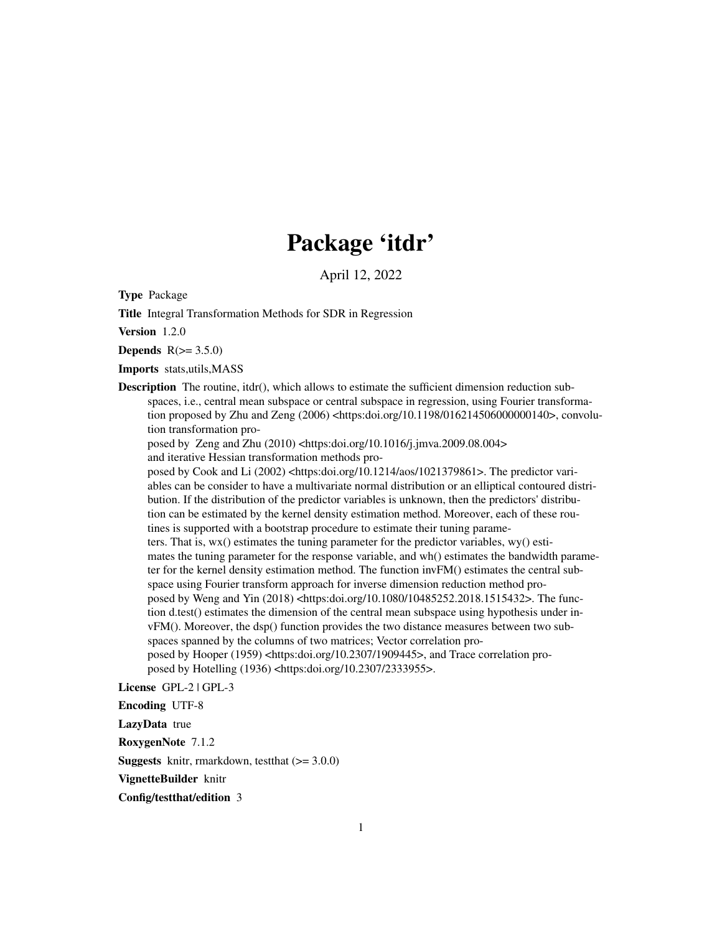## Package 'itdr'

April 12, 2022

Type Package

Title Integral Transformation Methods for SDR in Regression

Version 1.2.0

Depends  $R(>= 3.5.0)$ 

Imports stats,utils,MASS

Description The routine, itdr(), which allows to estimate the sufficient dimension reduction subspaces, i.e., central mean subspace or central subspace in regression, using Fourier transformation proposed by Zhu and Zeng  $(2006)$  <https:doi.org/10.1198/016214506000000140>, convolution transformation pro-

posed by Zeng and Zhu  $(2010)$  <https:doi.org/10.1016/j.jmva.2009.08.004>

and iterative Hessian transformation methods pro-

posed by Cook and Li (2002) <https:doi.org/10.1214/aos/1021379861>. The predictor variables can be consider to have a multivariate normal distribution or an elliptical contoured distribution. If the distribution of the predictor variables is unknown, then the predictors' distribution can be estimated by the kernel density estimation method. Moreover, each of these routines is supported with a bootstrap procedure to estimate their tuning parameters. That is, wx() estimates the tuning parameter for the predictor variables, wy() estimates the tuning parameter for the response variable, and wh() estimates the bandwidth parameter for the kernel density estimation method. The function invFM() estimates the central subspace using Fourier transform approach for inverse dimension reduction method proposed by Weng and Yin (2018) <https:doi.org/10.1080/10485252.2018.1515432>. The function d.test() estimates the dimension of the central mean subspace using hypothesis under invFM(). Moreover, the dsp() function provides the two distance measures between two subspaces spanned by the columns of two matrices; Vector correlation proposed by Hooper (1959) <https:doi.org/10.2307/1909445>, and Trace correlation proposed by Hotelling (1936) <https:doi.org/10.2307/2333955>.

License GPL-2 | GPL-3

Encoding UTF-8

LazyData true

RoxygenNote 7.1.2

**Suggests** knitr, rmarkdown, test that  $(>= 3.0.0)$ 

VignetteBuilder knitr

Config/testthat/edition 3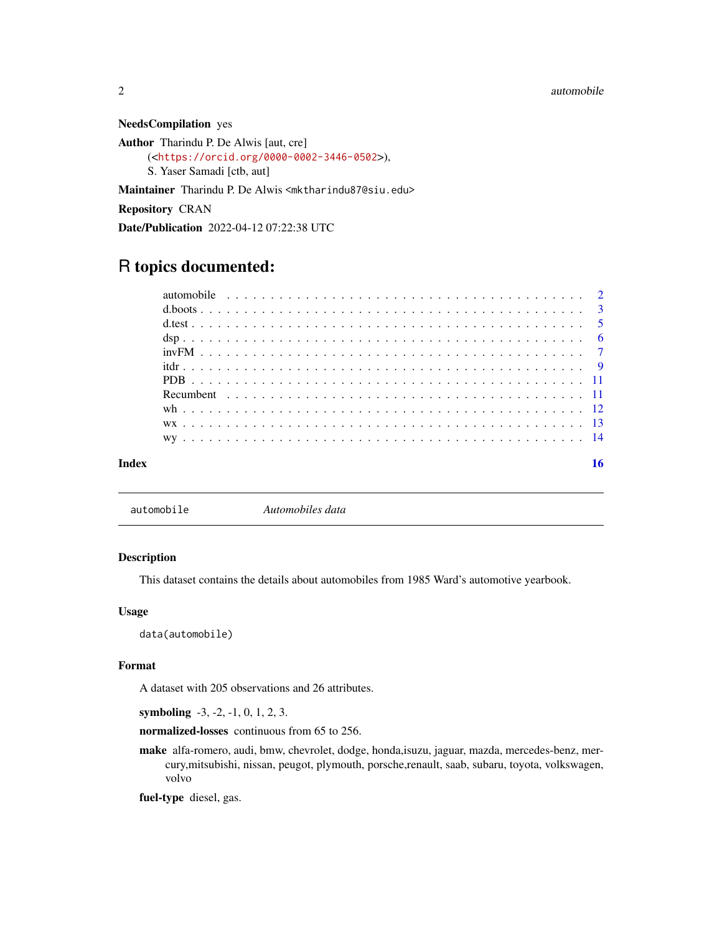NeedsCompilation yes

Author Tharindu P. De Alwis [aut, cre] (<<https://orcid.org/0000-0002-3446-0502>>), S. Yaser Samadi [ctb, aut]

Maintainer Tharindu P. De Alwis <mktharindu87@siu.edu>

Repository CRAN

Date/Publication 2022-04-12 07:22:38 UTC

### R topics documented:

#### **Index** and the contract of the contract of the contract of the contract of the contract of the contract of the contract of the contract of the contract of the contract of the contract of the contract of the contract of th

automobile *Automobiles data*

#### Description

This dataset contains the details about automobiles from 1985 Ward's automotive yearbook.

#### Usage

data(automobile)

#### Format

A dataset with 205 observations and 26 attributes.

symboling -3, -2, -1, 0, 1, 2, 3.

normalized-losses continuous from 65 to 256.

make alfa-romero, audi, bmw, chevrolet, dodge, honda,isuzu, jaguar, mazda, mercedes-benz, mercury,mitsubishi, nissan, peugot, plymouth, porsche,renault, saab, subaru, toyota, volkswagen, volvo

fuel-type diesel, gas.

<span id="page-1-0"></span>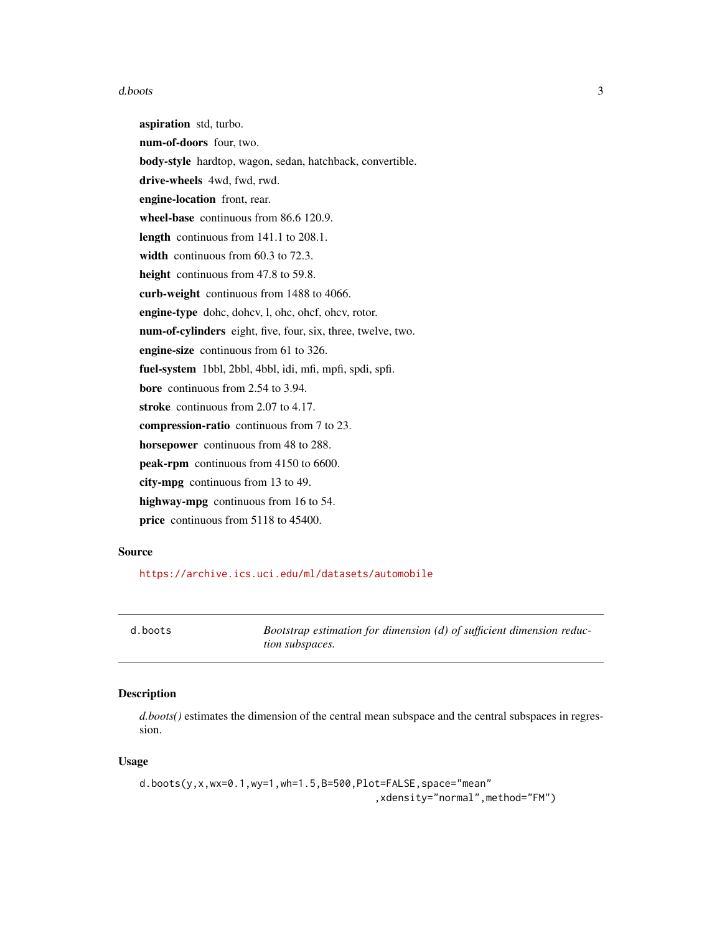#### <span id="page-2-0"></span>d.boots 3

aspiration std, turbo. num-of-doors four, two. body-style hardtop, wagon, sedan, hatchback, convertible. drive-wheels 4wd, fwd, rwd. engine-location front, rear. wheel-base continuous from 86.6 120.9. length continuous from 141.1 to 208.1. width continuous from 60.3 to 72.3. height continuous from 47.8 to 59.8. curb-weight continuous from 1488 to 4066. engine-type dohc, dohcv, l, ohc, ohcf, ohcv, rotor. num-of-cylinders eight, five, four, six, three, twelve, two. engine-size continuous from 61 to 326. fuel-system 1bbl, 2bbl, 4bbl, idi, mfi, mpfi, spdi, spfi. bore continuous from 2.54 to 3.94. stroke continuous from 2.07 to 4.17. compression-ratio continuous from 7 to 23. horsepower continuous from 48 to 288. peak-rpm continuous from 4150 to 6600. city-mpg continuous from 13 to 49. highway-mpg continuous from 16 to 54. price continuous from 5118 to 45400.

#### Source

<https://archive.ics.uci.edu/ml/datasets/automobile>

d.boots *Bootstrap estimation for dimension (d) of sufficient dimension reduction subspaces.*

#### Description

*d.boots()* estimates the dimension of the central mean subspace and the central subspaces in regression.

#### Usage

```
d.boots(y,x,wx=0.1,wy=1,wh=1.5,B=500,Plot=FALSE,space="mean"
                                        ,xdensity="normal",method="FM")
```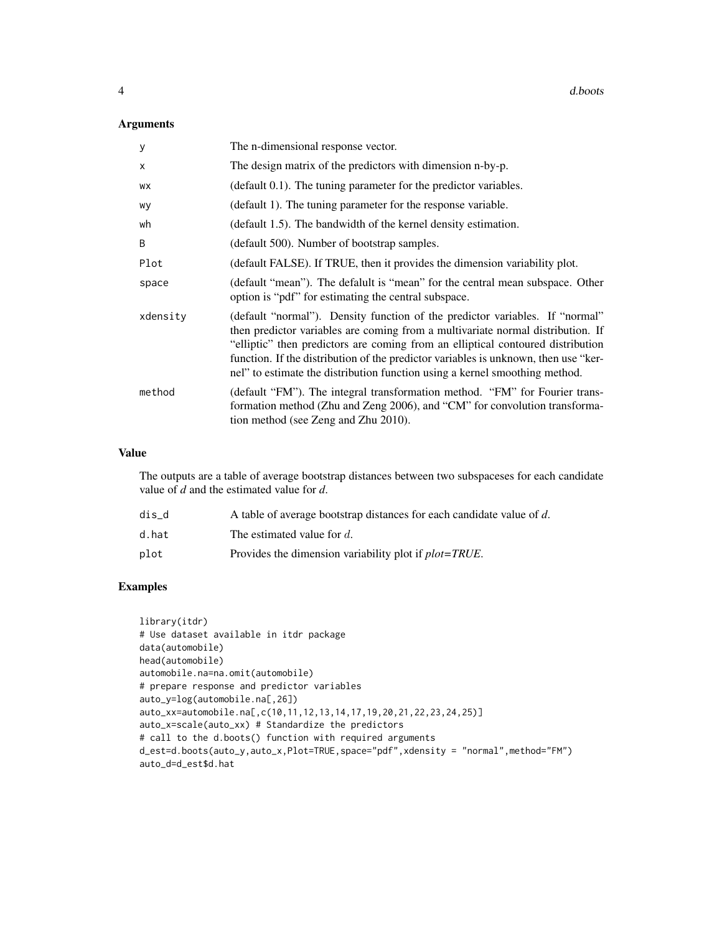#### Arguments

| У        | The n-dimensional response vector.                                                                                                                                                                                                                                                                                                                                                                                       |
|----------|--------------------------------------------------------------------------------------------------------------------------------------------------------------------------------------------------------------------------------------------------------------------------------------------------------------------------------------------------------------------------------------------------------------------------|
| X        | The design matrix of the predictors with dimension n-by-p.                                                                                                                                                                                                                                                                                                                                                               |
| WX       | (default 0.1). The tuning parameter for the predictor variables.                                                                                                                                                                                                                                                                                                                                                         |
| wy       | (default 1). The tuning parameter for the response variable.                                                                                                                                                                                                                                                                                                                                                             |
| wh       | (default 1.5). The bandwidth of the kernel density estimation.                                                                                                                                                                                                                                                                                                                                                           |
| B        | (default 500). Number of bootstrap samples.                                                                                                                                                                                                                                                                                                                                                                              |
| Plot     | (default FALSE). If TRUE, then it provides the dimension variability plot.                                                                                                                                                                                                                                                                                                                                               |
| space    | (default "mean"). The defalult is "mean" for the central mean subspace. Other<br>option is "pdf" for estimating the central subspace.                                                                                                                                                                                                                                                                                    |
| xdensity | (default "normal"). Density function of the predictor variables. If "normal"<br>then predictor variables are coming from a multivariate normal distribution. If<br>"elliptic" then predictors are coming from an elliptical contoured distribution<br>function. If the distribution of the predictor variables is unknown, then use "ker-<br>nel" to estimate the distribution function using a kernel smoothing method. |
| method   | (default "FM"). The integral transformation method. "FM" for Fourier trans-<br>formation method (Zhu and Zeng 2006), and "CM" for convolution transforma-<br>tion method (see Zeng and Zhu 2010).                                                                                                                                                                                                                        |

#### Value

The outputs are a table of average bootstrap distances between two subspaceses for each candidate value of *d* and the estimated value for *d*.

| dis d | A table of average bootstrap distances for each candidate value of d. |
|-------|-----------------------------------------------------------------------|
| d.hat | The estimated value for d.                                            |
| plot  | Provides the dimension variability plot if <i>plot=TRUE</i> .         |

#### Examples

```
library(itdr)
# Use dataset available in itdr package
data(automobile)
head(automobile)
automobile.na=na.omit(automobile)
# prepare response and predictor variables
auto_y=log(automobile.na[,26])
auto_xx=automobile.na[,c(10,11,12,13,14,17,19,20,21,22,23,24,25)]
auto_x=scale(auto_xx) # Standardize the predictors
# call to the d.boots() function with required arguments
d_est=d.boots(auto_y,auto_x,Plot=TRUE,space="pdf",xdensity = "normal",method="FM")
auto_d=d_est$d.hat
```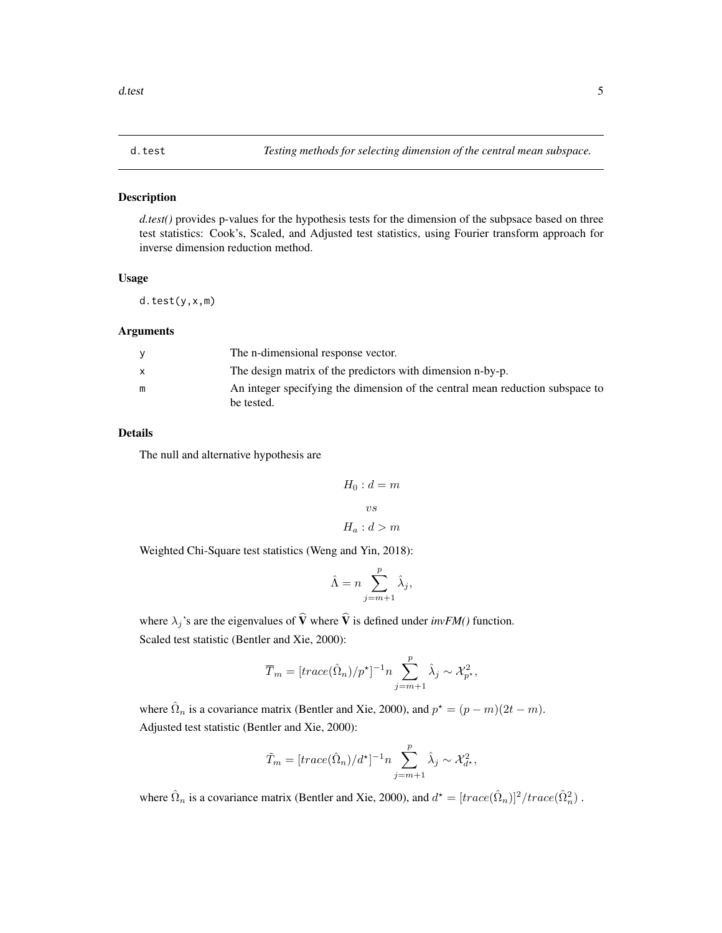#### <span id="page-4-0"></span>Description

*d.test()* provides p-values for the hypothesis tests for the dimension of the subpsace based on three test statistics: Cook's, Scaled, and Adjusted test statistics, using Fourier transform approach for inverse dimension reduction method.

#### Usage

d.test(y,x,m)

#### Arguments

|   | The n-dimensional response vector.                                            |
|---|-------------------------------------------------------------------------------|
|   | The design matrix of the predictors with dimension n-by-p.                    |
| m | An integer specifying the dimension of the central mean reduction subspace to |
|   | be tested.                                                                    |

#### Details

The null and alternative hypothesis are

$$
H_0: d = m
$$
  

$$
vs
$$
  

$$
H_a: d > m
$$

Weighted Chi-Square test statistics (Weng and Yin, 2018):

$$
\hat{\Lambda} = n \sum_{j=m+1}^{p} \hat{\lambda}_j
$$

j ,

where  $\lambda_j$ 's are the eigenvalues of  $\hat{V}$  where  $\hat{V}$  is defined under *invFM()* function. Scaled test statistic (Bentler and Xie, 2000):

$$
\overline{T}_{m} = [trace(\hat{\Omega}_{n})/p^{\star}]^{-1} n \sum_{j=m+1}^{p} \hat{\lambda}_{j} \sim \mathcal{X}_{p^{\star}}^{2},
$$

where  $\hat{\Omega}_n$  is a covariance matrix (Bentler and Xie, 2000), and  $p^* = (p - m)(2t - m)$ . Adjusted test statistic (Bentler and Xie, 2000):

$$
\tilde{T}_m = [trace(\hat{\Omega}_n)/d^{\star}]^{-1} n \sum_{j=m+1}^p \hat{\lambda}_j \sim \mathcal{X}_{d^{\star}}^2,
$$

where  $\hat{\Omega}_n$  is a covariance matrix (Bentler and Xie, 2000), and  $d^* = [trace(\hat{\Omega}_n)]^2 / trace(\hat{\Omega}_n^2)$ .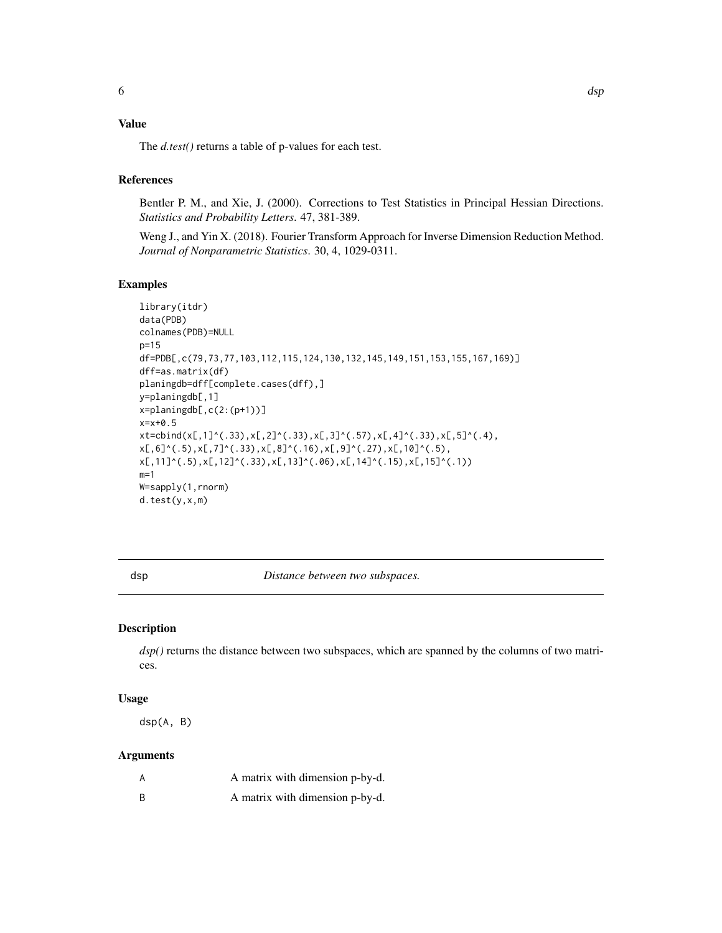#### <span id="page-5-0"></span>Value

The *d.test()* returns a table of p-values for each test.

#### References

Bentler P. M., and Xie, J. (2000). Corrections to Test Statistics in Principal Hessian Directions. *Statistics and Probability Letters*. 47, 381-389.

Weng J., and Yin X. (2018). Fourier Transform Approach for Inverse Dimension Reduction Method. *Journal of Nonparametric Statistics*. 30, 4, 1029-0311.

#### Examples

```
library(itdr)
data(PDB)
colnames(PDB)=NULL
p=15
df=PDB[,c(79,73,77,103,112,115,124,130,132,145,149,151,153,155,167,169)]
dff=as.matrix(df)
planingdb=dff[complete.cases(dff),]
y=planingdb[,1]
x=planingdb[,c(2:(p+1))]
x=x+0.5
xt = cbind(x[, 1]^(.33),x[, 2]^(.33),x[, 3]^(.57),x[, 4]^(.33),x[, 5]^(.4),x[,6]^(.5),x[,7]^(.33),x[,8]^(.16),x[,9]^(.27),x[,10]^(.5),
x[,11]^(.5),x[,12]^(.33),x[,13]^(.06),x[,14]^(.15),x[,15]^(.1))
m=1W=sapply(1,rnorm)
d.test(y,x,m)
```
dsp *Distance between two subspaces.*

#### Description

*dsp()* returns the distance between two subspaces, which are spanned by the columns of two matrices.

#### Usage

dsp(A, B)

#### Arguments

| A matrix with dimension p-by-d. |
|---------------------------------|
| A matrix with dimension p-by-d. |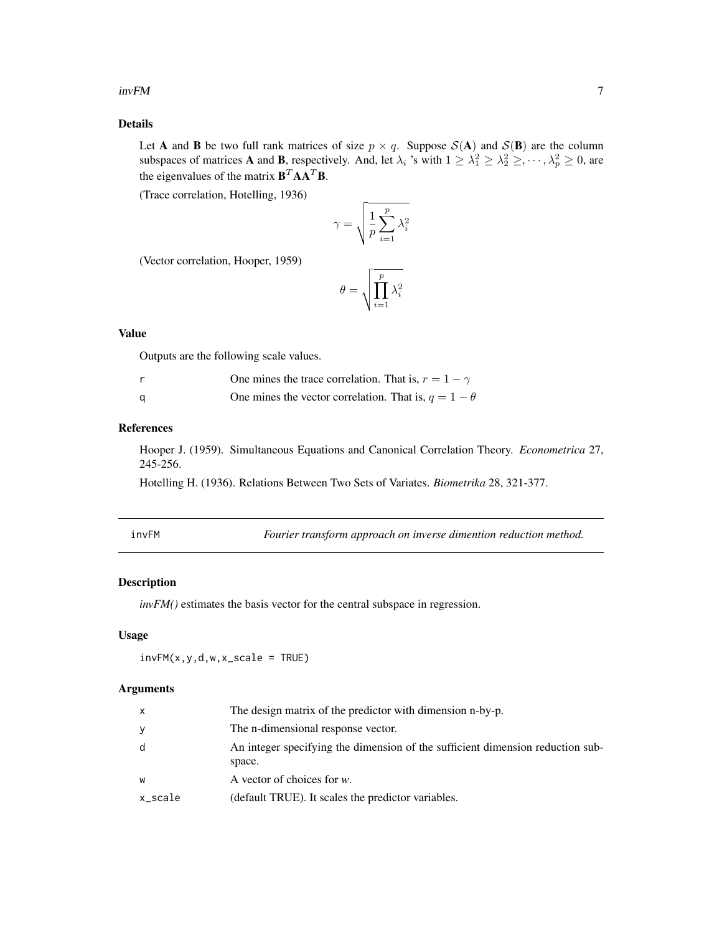#### <span id="page-6-0"></span> $invFM$  7

#### Details

Let **A** and **B** be two full rank matrices of size  $p \times q$ . Suppose  $S(A)$  and  $S(B)$  are the column subspaces of matrices **A** and **B**, respectively. And, let  $\lambda_i$  's with  $1 \geq \lambda_1^2 \geq \lambda_2^2 \geq \cdots, \lambda_p^2 \geq 0$ , are the eigenvalues of the matrix  $\mathbf{B}^T \mathbf{A} \mathbf{A}^T \mathbf{B}$ .

(Trace correlation, Hotelling, 1936)

$$
\gamma = \sqrt{\frac{1}{p} \sum_{i=1}^{p} \lambda_i^2}
$$

(Vector correlation, Hooper, 1959)

$$
\theta = \sqrt{\prod_{i=1}^p \lambda_i^2}
$$

#### Value

Outputs are the following scale values.

|     | One mines the trace correlation. That is, $r = 1 - \gamma$  |
|-----|-------------------------------------------------------------|
| - a | One mines the vector correlation. That is, $q = 1 - \theta$ |

#### References

Hooper J. (1959). Simultaneous Equations and Canonical Correlation Theory. *Econometrica* 27, 245-256.

Hotelling H. (1936). Relations Between Two Sets of Variates. *Biometrika* 28, 321-377.

Fourier transform approach on inverse dimention reduction method.

#### Description

*invFM()* estimates the basis vector for the central subspace in regression.

#### Usage

 $invFM(x,y,d,w,x\_scale = TRUE)$ 

#### Arguments

| $\mathsf{x}$ | The design matrix of the predictor with dimension n-by-p.                                |
|--------------|------------------------------------------------------------------------------------------|
| y            | The n-dimensional response vector.                                                       |
| d            | An integer specifying the dimension of the sufficient dimension reduction sub-<br>space. |
| W            | A vector of choices for $w$ .                                                            |
| x_scale      | (default TRUE). It scales the predictor variables.                                       |
|              |                                                                                          |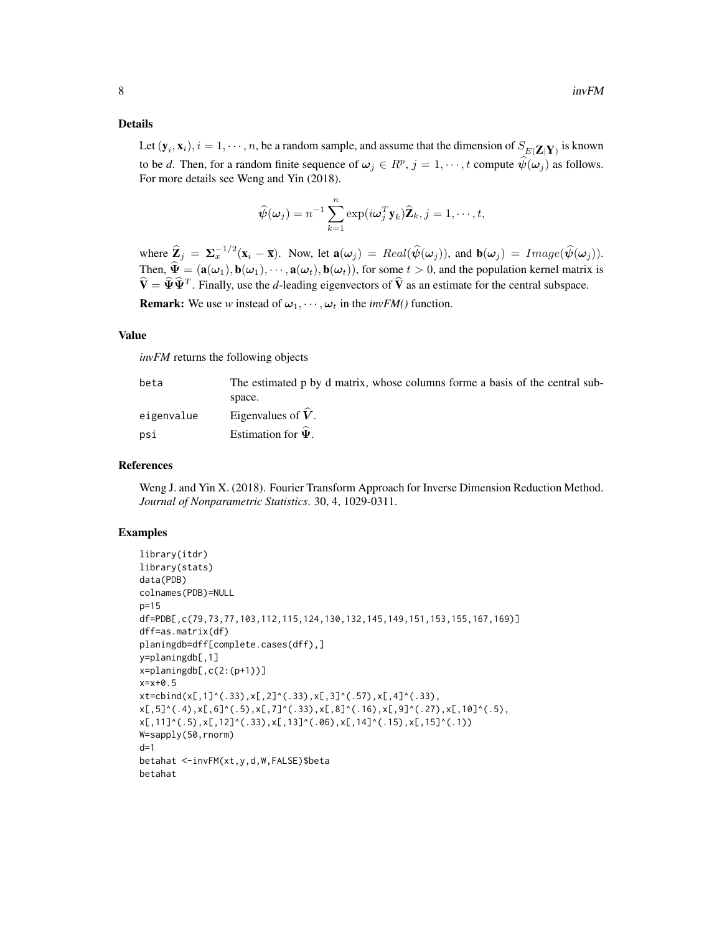#### Details

Let  $(\mathbf{y}_i, \mathbf{x}_i)$ ,  $i = 1, \dots, n$ , be a random sample, and assume that the dimension of  $S_{E(Z|Y)}$  is known to be *d*. Then, for a random finite sequence of  $\omega_j \in R^p$ ,  $j = 1, \dots, t$  compute  $\hat{\psi}(\omega_j)$  as follows. For more details see Weng and Yin (2018).

$$
\widehat{\psi}(\boldsymbol{\omega}_j) = n^{-1} \sum_{k=1}^n \exp(i \boldsymbol{\omega}_j^T \mathbf{y}_k) \widehat{\mathbf{Z}}_k, j = 1, \cdots, t,
$$

where  $\hat{\mathbf{Z}}_j = \Sigma_x^{-1/2}(\mathbf{x}_i - \bar{\mathbf{x}})$ . Now, let  $\mathbf{a}(\omega_j) = Real(\hat{\psi}(\omega_j))$ , and  $\mathbf{b}(\omega_j) = Image(\hat{\psi}(\omega_j))$ . Then,  $\hat{\mathbf{\Psi}} = (\mathbf{a}(\omega_1), \mathbf{b}(\omega_1), \cdots, \mathbf{a}(\omega_t), \mathbf{b}(\omega_t)),$  for some  $t > 0$ , and the population kernel matrix is  $\hat{\mathbf{V}} = \hat{\mathbf{\Psi}} \hat{\mathbf{\Psi}}^T$ . Finally, use the *d*-leading eigenvectors of  $\hat{\mathbf{V}}$  as an estimate for the central subspace.

**Remark:** We use *w* instead of  $\omega_1, \dots, \omega_t$  in the *invFM()* function.

#### Value

*invFM* returns the following objects

| beta       | The estimated p by d matrix, whose columns forme a basis of the central sub- |
|------------|------------------------------------------------------------------------------|
|            | space.                                                                       |
| eigenvalue | Eigenvalues of $V$ .                                                         |
| psi        | Estimation for $\Psi$ .                                                      |

#### References

Weng J. and Yin X. (2018). Fourier Transform Approach for Inverse Dimension Reduction Method. *Journal of Nonparametric Statistics*. 30, 4, 1029-0311.

#### Examples

```
library(itdr)
library(stats)
data(PDB)
colnames(PDB)=NULL
p=15
df=PDB[,c(79,73,77,103,112,115,124,130,132,145,149,151,153,155,167,169)]
dff=as.matrix(df)
planingdb=dff[complete.cases(dff),]
y=planingdb[,1]
x=planingdb[,c(2:(p+1))]
x=x+0.5
xt = cbind(x[, 1]^(.33),x[, 2]^(.33),x[, 3]^(.57),x[, 4]^(.33),x[, 5]^(.4),x[, 6]^(.5),x[, 7]^(.33),x[, 8]^(.16),x[, 9]^(.27),x[, 10]^(.5),
x[,11]^(.5),x[,12]^(.33),x[,13]^(.06),x[,14]^(.15),x[,15]^(.1))
W=sapply(50,rnorm)
d=1betahat <-invFM(xt,y,d,W,FALSE)$beta
betahat
```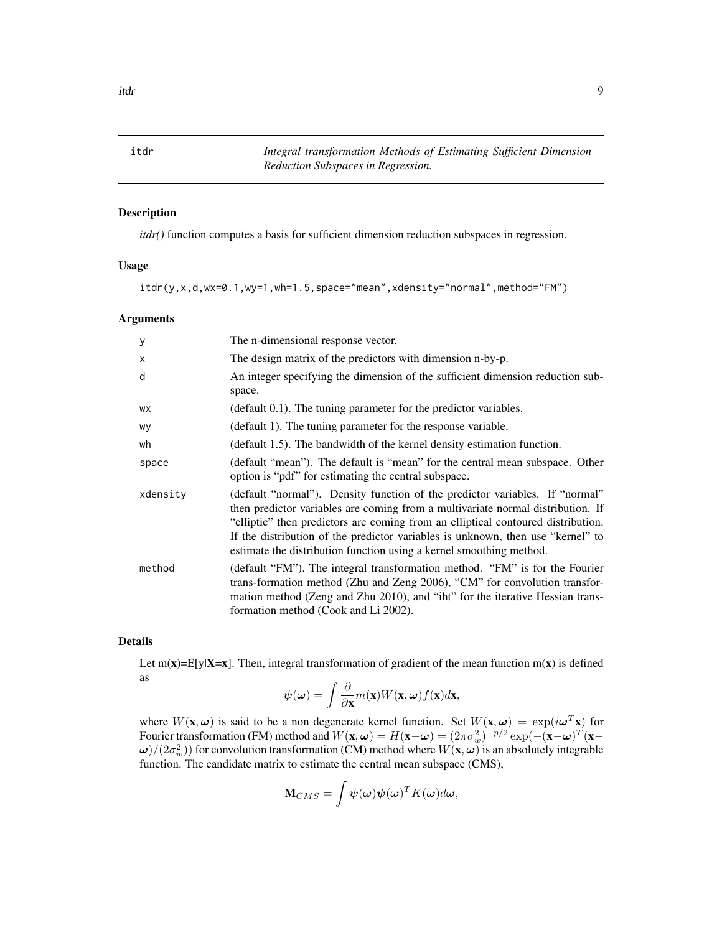<span id="page-8-0"></span>itdr *Integral transformation Methods of Estimating Sufficient Dimension Reduction Subspaces in Regression.*

#### Description

*itdr()* function computes a basis for sufficient dimension reduction subspaces in regression.

#### Usage

```
itdr(y,x,d,wx=0.1,wy=1,wh=1.5,space="mean",xdensity="normal",method="FM")
```
#### Arguments

| У        | The n-dimensional response vector.                                                                                                                                                                                                                                                                                                                                                                            |
|----------|---------------------------------------------------------------------------------------------------------------------------------------------------------------------------------------------------------------------------------------------------------------------------------------------------------------------------------------------------------------------------------------------------------------|
| X        | The design matrix of the predictors with dimension n-by-p.                                                                                                                                                                                                                                                                                                                                                    |
| d        | An integer specifying the dimension of the sufficient dimension reduction sub-<br>space.                                                                                                                                                                                                                                                                                                                      |
| WX       | (default 0.1). The tuning parameter for the predictor variables.                                                                                                                                                                                                                                                                                                                                              |
| wy       | (default 1). The tuning parameter for the response variable.                                                                                                                                                                                                                                                                                                                                                  |
| wh       | (default 1.5). The bandwidth of the kernel density estimation function.                                                                                                                                                                                                                                                                                                                                       |
| space    | (default "mean"). The default is "mean" for the central mean subspace. Other<br>option is "pdf" for estimating the central subspace.                                                                                                                                                                                                                                                                          |
| xdensity | (default "normal"). Density function of the predictor variables. If "normal"<br>then predictor variables are coming from a multivariate normal distribution. If<br>"elliptic" then predictors are coming from an elliptical contoured distribution.<br>If the distribution of the predictor variables is unknown, then use "kernel" to<br>estimate the distribution function using a kernel smoothing method. |
| method   | (default "FM"). The integral transformation method. "FM" is for the Fourier<br>trans-formation method (Zhu and Zeng 2006), "CM" for convolution transfor-<br>mation method (Zeng and Zhu 2010), and "iht" for the iterative Hessian trans-<br>formation method (Cook and Li 2002).                                                                                                                            |

#### Details

Let  $m(x)=E[y|X=x]$ . Then, integral transformation of gradient of the mean function  $m(x)$  is defined as

$$
\psi(\omega) = \int \frac{\partial}{\partial \mathbf{x}} m(\mathbf{x}) W(\mathbf{x}, \omega) f(\mathbf{x}) d\mathbf{x},
$$

where  $W(\mathbf{x}, \omega)$  is said to be a non degenerate kernel function. Set  $W(\mathbf{x}, \omega) = \exp(i\omega^T \mathbf{x})$  for Fourier transformation (FM) method and  $W(\mathbf{x}, \omega) = H(\mathbf{x} - \omega) = (2\pi\sigma_w^2)^{-p/2} \exp(-( \mathbf{x} - \omega)^T(\mathbf{x} - \omega))^T$  $\omega)/(2\sigma_w^2)$ ) for convolution transformation (CM) method where  $W({\bf x},\omega)$  is an absolutely integrable function. The candidate matrix to estimate the central mean subspace (CMS),

$$
\mathbf{M}_{CMS} = \int \boldsymbol{\psi}(\boldsymbol{\omega}) \boldsymbol{\psi}(\boldsymbol{\omega})^T K(\boldsymbol{\omega}) d\boldsymbol{\omega},
$$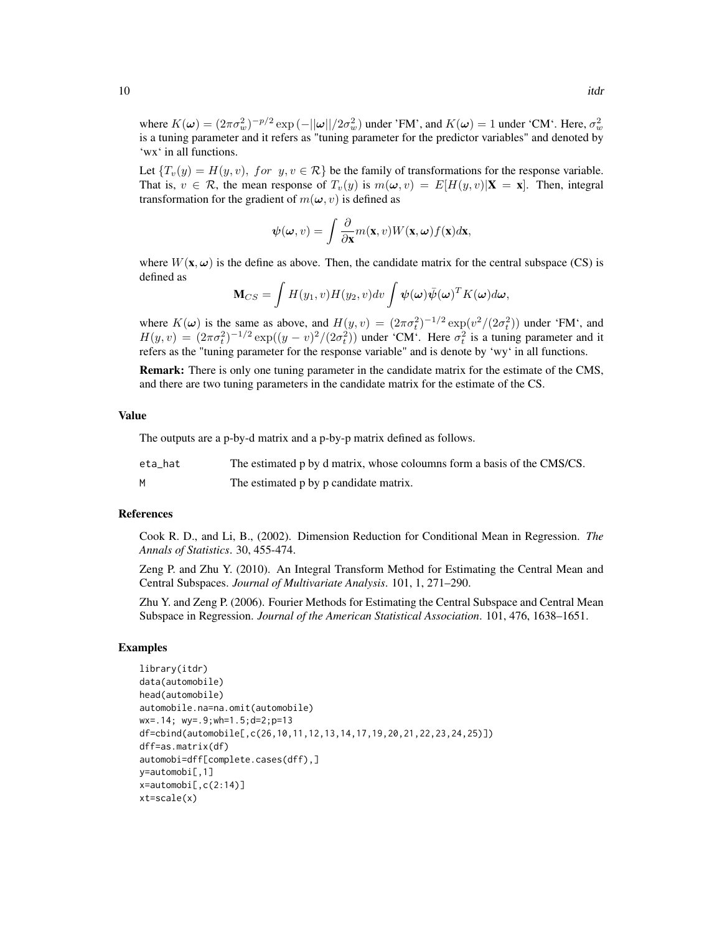where  $K(\omega) = (2\pi\sigma_w^2)^{-p/2} \exp(-||\omega||/2\sigma_w^2)$  under 'FM', and  $K(\omega) = 1$  under 'CM'. Here,  $\sigma_w^2$ is a tuning parameter and it refers as "tuning parameter for the predictor variables" and denoted by 'wx' in all functions.

Let  $\{T_v(y) = H(y, v), \text{ for } y, v \in \mathcal{R}\}$  be the family of transformations for the response variable. That is,  $v \in \mathcal{R}$ , the mean response of  $T_v(y)$  is  $m(\omega, v) = E[H(y, v)|\mathbf{X} = \mathbf{x}]$ . Then, integral transformation for the gradient of  $m(\omega, v)$  is defined as

$$
\psi(\omega, v) = \int \frac{\partial}{\partial \mathbf{x}} m(\mathbf{x}, v) W(\mathbf{x}, \omega) f(\mathbf{x}) d\mathbf{x},
$$

where  $W(\mathbf{x}, \omega)$  is the define as above. Then, the candidate matrix for the central subspace (CS) is defined as

$$
\mathbf{M}_{CS} = \int H(y_1, v)H(y_2, v)dv \int \boldsymbol{\psi}(\boldsymbol{\omega})\bar{\boldsymbol{\psi}}(\boldsymbol{\omega})^T K(\boldsymbol{\omega})d\boldsymbol{\omega},
$$

where  $K(\omega)$  is the same as above, and  $H(y, v) = (2\pi\sigma_t^2)^{-1/2} \exp(v^2/(2\sigma_t^2))$  under 'FM', and  $H(y, v) = (2\pi\sigma_t^2)^{-1/2} \exp((y - v)^2/(2\sigma_t^2))$  under 'CM'. Here  $\sigma_t^2$  is a tuning parameter and it refers as the "tuning parameter for the response variable" and is denote by 'wy' in all functions.

Remark: There is only one tuning parameter in the candidate matrix for the estimate of the CMS, and there are two tuning parameters in the candidate matrix for the estimate of the CS.

#### Value

The outputs are a p-by-d matrix and a p-by-p matrix defined as follows.

| eta hat | The estimated p by d matrix, whose coloumns form a basis of the CMS/CS. |
|---------|-------------------------------------------------------------------------|
|         | The estimated p by p candidate matrix.                                  |

#### References

Cook R. D., and Li, B., (2002). Dimension Reduction for Conditional Mean in Regression. *The Annals of Statistics*. 30, 455-474.

Zeng P. and Zhu Y. (2010). An Integral Transform Method for Estimating the Central Mean and Central Subspaces. *Journal of Multivariate Analysis*. 101, 1, 271–290.

Zhu Y. and Zeng P. (2006). Fourier Methods for Estimating the Central Subspace and Central Mean Subspace in Regression. *Journal of the American Statistical Association*. 101, 476, 1638–1651.

#### Examples

```
library(itdr)
data(automobile)
head(automobile)
automobile.na=na.omit(automobile)
wx=.14; wy=.9;wh=1.5;d=2;p=13
df=cbind(automobile[,c(26,10,11,12,13,14,17,19,20,21,22,23,24,25)])
dff=as.matrix(df)
automobi=dff[complete.cases(dff),]
y=automobi[,1]
x=automobi[,c(2:14)]
xt=scale(x)
```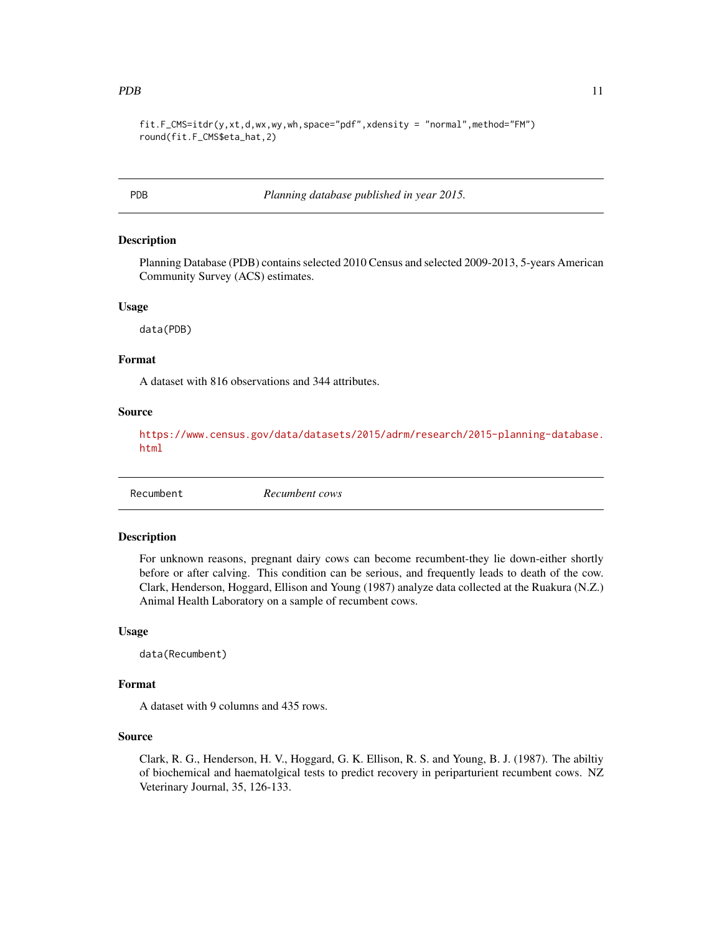```
fit.F_CMS=itdr(y,xt,d,wx,wy,wh,space="pdf",xdensity = "normal",method="FM")
round(fit.F_CMS$eta_hat,2)
```
PDB *Planning database published in year 2015.*

#### Description

Planning Database (PDB) contains selected 2010 Census and selected 2009-2013, 5-years American Community Survey (ACS) estimates.

#### Usage

data(PDB)

#### Format

A dataset with 816 observations and 344 attributes.

#### Source

[https://www.census.gov/data/datasets/2015/adrm/research/2015-planning-database.](https://www.census.gov/data/datasets/2015/adrm/research/2015-planning-database.html) [html](https://www.census.gov/data/datasets/2015/adrm/research/2015-planning-database.html)

```
Recumbent Recumbent cows
```
#### **Description**

For unknown reasons, pregnant dairy cows can become recumbent-they lie down-either shortly before or after calving. This condition can be serious, and frequently leads to death of the cow. Clark, Henderson, Hoggard, Ellison and Young (1987) analyze data collected at the Ruakura (N.Z.) Animal Health Laboratory on a sample of recumbent cows.

#### Usage

data(Recumbent)

#### Format

A dataset with 9 columns and 435 rows.

#### Source

Clark, R. G., Henderson, H. V., Hoggard, G. K. Ellison, R. S. and Young, B. J. (1987). The abiltiy of biochemical and haematolgical tests to predict recovery in periparturient recumbent cows. NZ Veterinary Journal, 35, 126-133.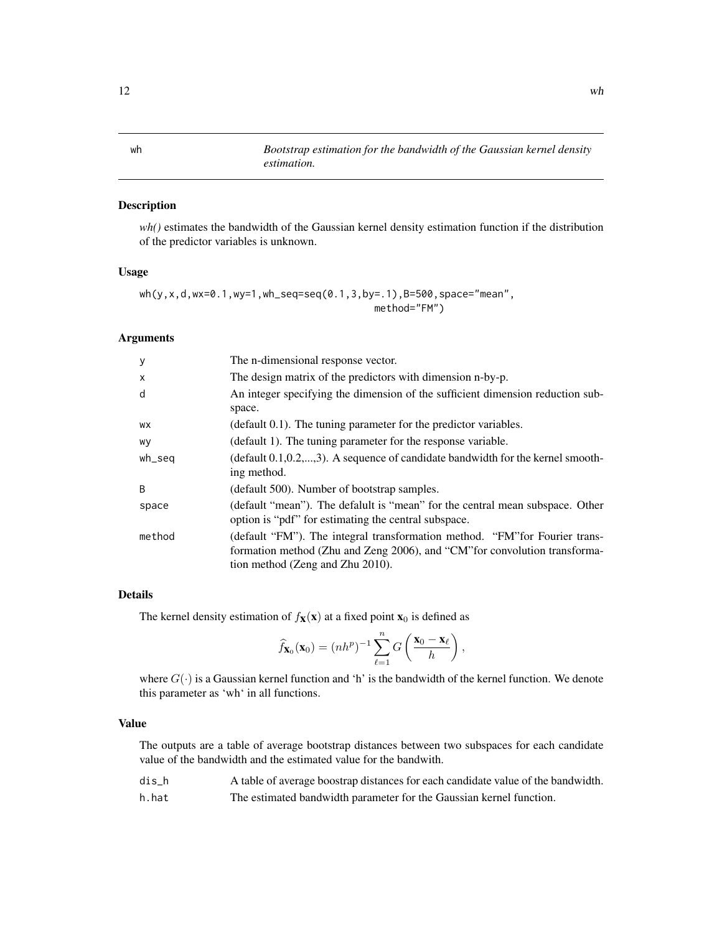#### Description

*wh()* estimates the bandwidth of the Gaussian kernel density estimation function if the distribution of the predictor variables is unknown.

#### Usage

```
wh(y,x,d,wx=0.1,wy=1,wh_seq=seq(0.1,3,by=.1),B=500,space="mean",
                                        method="FM")
```
#### Arguments

| y      | The n-dimensional response vector.                                                                                                                                                            |
|--------|-----------------------------------------------------------------------------------------------------------------------------------------------------------------------------------------------|
| X      | The design matrix of the predictors with dimension n-by-p.                                                                                                                                    |
| d      | An integer specifying the dimension of the sufficient dimension reduction sub-<br>space.                                                                                                      |
| WX     | $\alpha$ (default 0.1). The tuning parameter for the predictor variables.                                                                                                                     |
| wy     | (default 1). The tuning parameter for the response variable.                                                                                                                                  |
| wh_seq | $(\text{default } 0.1, 0.2, \ldots, 3)$ . A sequence of candidate bandwidth for the kernel smooth-<br>ing method.                                                                             |
| B      | (default 500). Number of bootstrap samples.                                                                                                                                                   |
| space  | (default "mean"). The defalult is "mean" for the central mean subspace. Other<br>option is "pdf" for estimating the central subspace.                                                         |
| method | (default "FM"). The integral transformation method. "FM" for Fourier trans-<br>formation method (Zhu and Zeng 2006), and "CM" for convolution transforma-<br>tion method (Zeng and Zhu 2010). |

#### Details

The kernel density estimation of  $f_{\mathbf{X}}(\mathbf{x})$  at a fixed point  $\mathbf{x}_0$  is defined as

$$
\widehat{f}_{\mathbf{X}_0}(\mathbf{x}_0) = (nh^p)^{-1} \sum_{\ell=1}^n G\left(\frac{\mathbf{x}_0 - \mathbf{x}_\ell}{h}\right),\,
$$

where  $G(\cdot)$  is a Gaussian kernel function and 'h' is the bandwidth of the kernel function. We denote this parameter as 'wh' in all functions.

#### Value

The outputs are a table of average bootstrap distances between two subspaces for each candidate value of the bandwidth and the estimated value for the bandwith.

| dis h | A table of average boostrap distances for each candidate value of the bandwidth. |
|-------|----------------------------------------------------------------------------------|
| h.hat | The estimated bandwidth parameter for the Gaussian kernel function.              |

<span id="page-11-0"></span>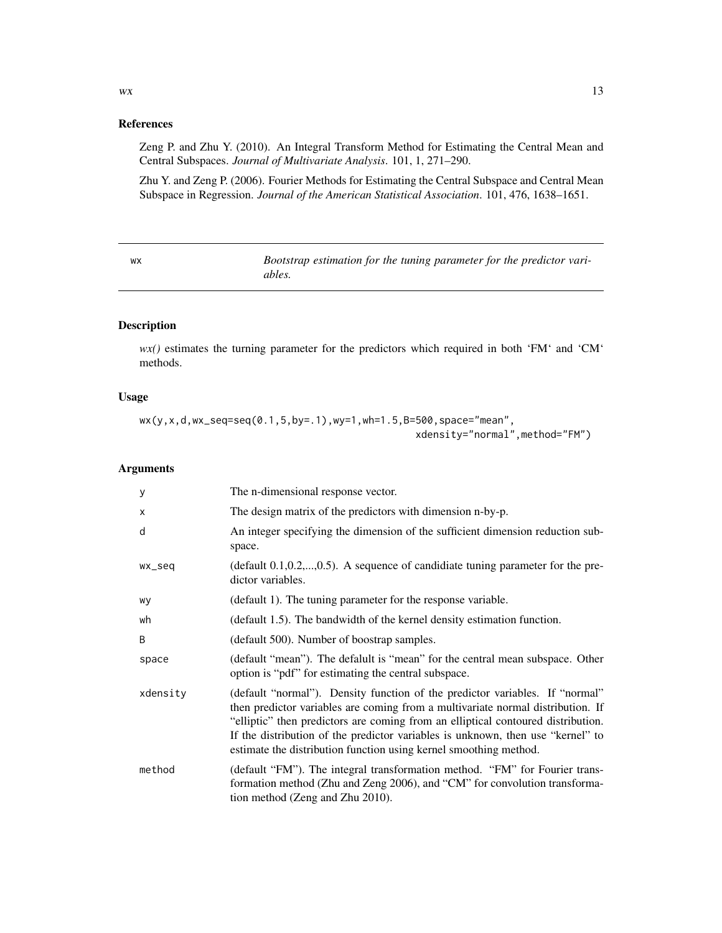#### References

Zeng P. and Zhu Y. (2010). An Integral Transform Method for Estimating the Central Mean and Central Subspaces. *Journal of Multivariate Analysis*. 101, 1, 271–290.

Zhu Y. and Zeng P. (2006). Fourier Methods for Estimating the Central Subspace and Central Mean Subspace in Regression. *Journal of the American Statistical Association*. 101, 476, 1638–1651.

wx *Bootstrap estimation for the tuning parameter for the predictor variables.*

#### Description

*wx()* estimates the turning parameter for the predictors which required in both 'FM' and 'CM' methods.

#### Usage

```
wx(y,x,d,wx_seq=seq(0.1,5,by=.1),wy=1,wh=1.5,B=500,space="mean",
                                               xdensity="normal",method="FM")
```
#### Arguments

| y        | The n-dimensional response vector.                                                                                                                                                                                                                                                                                                                                                                          |
|----------|-------------------------------------------------------------------------------------------------------------------------------------------------------------------------------------------------------------------------------------------------------------------------------------------------------------------------------------------------------------------------------------------------------------|
| X        | The design matrix of the predictors with dimension n-by-p.                                                                                                                                                                                                                                                                                                                                                  |
| d        | An integer specifying the dimension of the sufficient dimension reduction sub-<br>space.                                                                                                                                                                                                                                                                                                                    |
| wx_seq   | (default $0.1, 0.2, \ldots, 0.5$ ). A sequence of candidiate tuning parameter for the pre-<br>dictor variables.                                                                                                                                                                                                                                                                                             |
| wy       | (default 1). The tuning parameter for the response variable.                                                                                                                                                                                                                                                                                                                                                |
| wh       | (default 1.5). The bandwidth of the kernel density estimation function.                                                                                                                                                                                                                                                                                                                                     |
| B        | (default 500). Number of boostrap samples.                                                                                                                                                                                                                                                                                                                                                                  |
| space    | (default "mean"). The defalult is "mean" for the central mean subspace. Other<br>option is "pdf" for estimating the central subspace.                                                                                                                                                                                                                                                                       |
| xdensity | (default "normal"). Density function of the predictor variables. If "normal"<br>then predictor variables are coming from a multivariate normal distribution. If<br>"elliptic" then predictors are coming from an elliptical contoured distribution.<br>If the distribution of the predictor variables is unknown, then use "kernel" to<br>estimate the distribution function using kernel smoothing method. |
| method   | (default "FM"). The integral transformation method. "FM" for Fourier trans-<br>formation method (Zhu and Zeng 2006), and "CM" for convolution transforma-<br>tion method (Zeng and Zhu 2010).                                                                                                                                                                                                               |

<span id="page-12-0"></span> $w \times 13$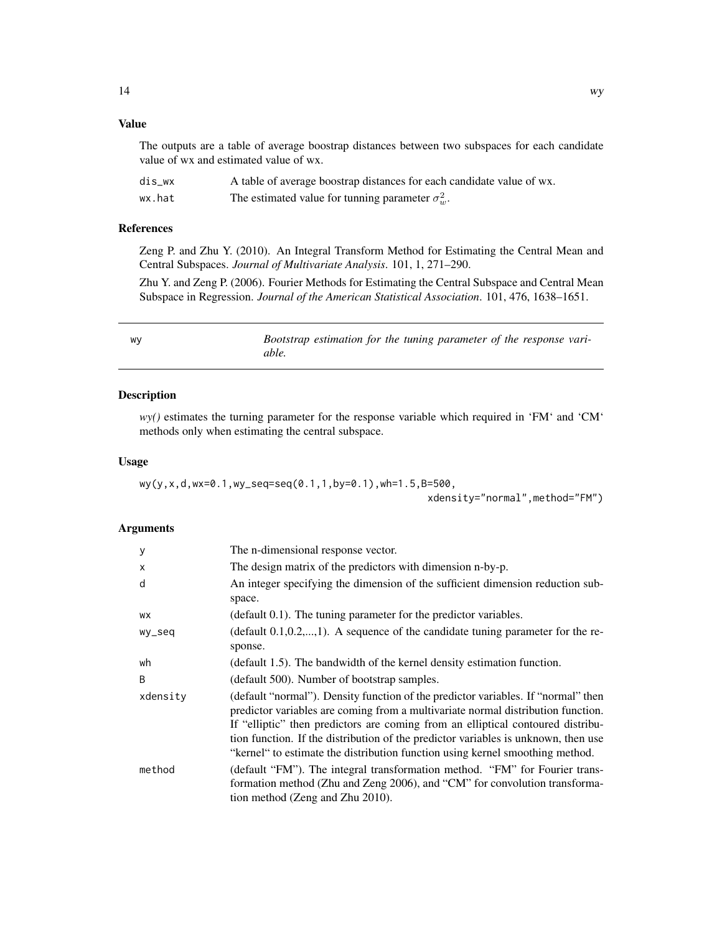#### <span id="page-13-0"></span>Value

The outputs are a table of average boostrap distances between two subspaces for each candidate value of wx and estimated value of wx.

| dis wx | A table of average boostrap distances for each candidate value of wx. |
|--------|-----------------------------------------------------------------------|
| wx.hat | The estimated value for tunning parameter $\sigma_w^2$ .              |

#### References

Zeng P. and Zhu Y. (2010). An Integral Transform Method for Estimating the Central Mean and Central Subspaces. *Journal of Multivariate Analysis*. 101, 1, 271–290.

Zhu Y. and Zeng P. (2006). Fourier Methods for Estimating the Central Subspace and Central Mean Subspace in Regression. *Journal of the American Statistical Association*. 101, 476, 1638–1651.

| WV | Bootstrap estimation for the tuning parameter of the response vari- |  |
|----|---------------------------------------------------------------------|--|
|    | able.                                                               |  |

#### Description

*wy()* estimates the turning parameter for the response variable which required in 'FM' and 'CM' methods only when estimating the central subspace.

#### Usage

```
wy(y,x,d,wx=0.1,wy_seq=seq(0.1,1,by=0.1),wh=1.5,B=500,
```
xdensity="normal",method="FM")

#### Arguments

| y            | The n-dimensional response vector.                                                                                                                                                                                                                                                                                                                                                                                              |
|--------------|---------------------------------------------------------------------------------------------------------------------------------------------------------------------------------------------------------------------------------------------------------------------------------------------------------------------------------------------------------------------------------------------------------------------------------|
| X            | The design matrix of the predictors with dimension n-by-p.                                                                                                                                                                                                                                                                                                                                                                      |
| d            | An integer specifying the dimension of the sufficient dimension reduction sub-<br>space.                                                                                                                                                                                                                                                                                                                                        |
| <b>WX</b>    | (default 0.1). The tuning parameter for the predictor variables.                                                                                                                                                                                                                                                                                                                                                                |
| wy_seq       | (default $0.1, 0.2, \ldots, 1$ ). A sequence of the candidate tuning parameter for the re-<br>sponse.                                                                                                                                                                                                                                                                                                                           |
| wh           | (default 1.5). The bandwidth of the kernel density estimation function.                                                                                                                                                                                                                                                                                                                                                         |
| <sub>R</sub> | (default 500). Number of bootstrap samples.                                                                                                                                                                                                                                                                                                                                                                                     |
| xdensity     | (default "normal"). Density function of the predictor variables. If "normal" then<br>predictor variables are coming from a multivariate normal distribution function.<br>If "elliptic" then predictors are coming from an elliptical contoured distribu-<br>tion function. If the distribution of the predictor variables is unknown, then use<br>"kernel" to estimate the distribution function using kernel smoothing method. |
| method       | (default "FM"). The integral transformation method. "FM" for Fourier trans-<br>formation method (Zhu and Zeng 2006), and "CM" for convolution transforma-<br>tion method (Zeng and Zhu 2010).                                                                                                                                                                                                                                   |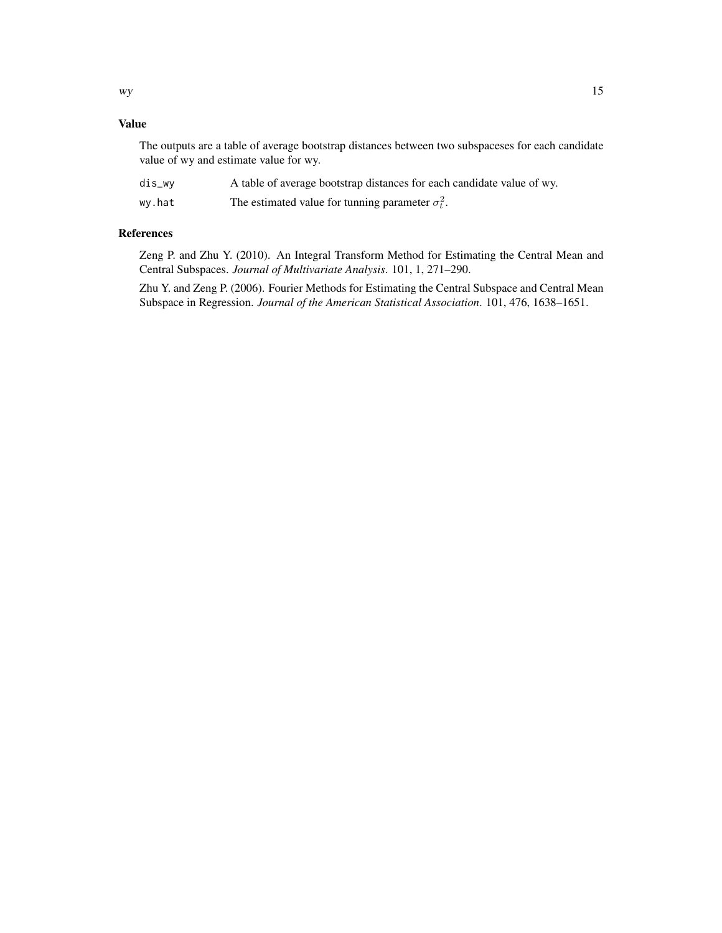#### Value

The outputs are a table of average bootstrap distances between two subspaceses for each candidate value of wy and estimate value for wy.

| dis_wy | A table of average bootstrap distances for each candidate value of wy. |
|--------|------------------------------------------------------------------------|
| wy.hat | The estimated value for tunning parameter $\sigma_t^2$ .               |

#### References

Zeng P. and Zhu Y. (2010). An Integral Transform Method for Estimating the Central Mean and Central Subspaces. *Journal of Multivariate Analysis*. 101, 1, 271–290.

Zhu Y. and Zeng P. (2006). Fourier Methods for Estimating the Central Subspace and Central Mean Subspace in Regression. *Journal of the American Statistical Association*. 101, 476, 1638–1651.